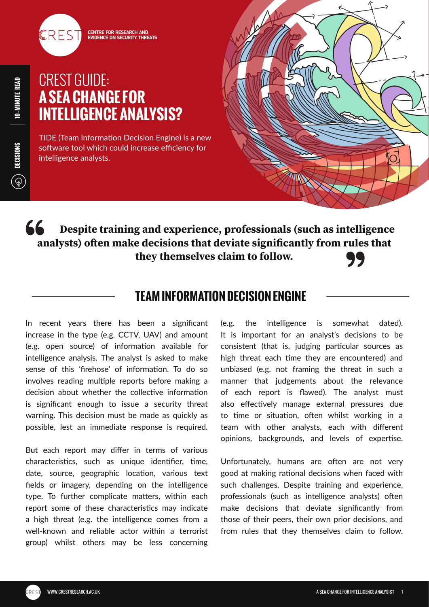

# CREST GUIDE: **A SEA CHANGE FOR INTELLIGENCE ANALYSIS?**

TIDE (Team Information Decision Engine) is a new software tool which could increase efficiency for intelligence analysts.



66 **Despite training and experience, professionals (such as intelligence analysts) often make decisions that deviate significantly from rules that they themselves claim to follow.** 77

### **TEAM INFORMATION DECISION ENGINE**

In recent years there has been a significant increase in the type (e.g. CCTV, UAV) and amount (e.g. open source) of information available for intelligence analysis. The analyst is asked to make sense of this 'firehose' of information. To do so involves reading multiple reports before making a decision about whether the collective information is significant enough to issue a security threat warning. This decision must be made as quickly as possible, lest an immediate response is required.

But each report may differ in terms of various characteristics, such as unique identifier, time, date, source, geographic location, various text fields or imagery, depending on the intelligence type. To further complicate matters, within each report some of these characteristics may indicate a high threat (e.g. the intelligence comes from a well-known and reliable actor within a terrorist group) whilst others may be less concerning

(e.g. the intelligence is somewhat dated). It is important for an analyst's decisions to be consistent (that is, judging particular sources as high threat each time they are encountered) and unbiased (e.g. not framing the threat in such a manner that judgements about the relevance of each report is flawed). The analyst must also effectively manage external pressures due to time or situation, often whilst working in a team with other analysts, each with different opinions, backgrounds, and levels of expertise.

Unfortunately, humans are often are not very good at making rational decisions when faced with such challenges. Despite training and experience, professionals (such as intelligence analysts) often make decisions that deviate significantly from those of their peers, their own prior decisions, and from rules that they themselves claim to follow.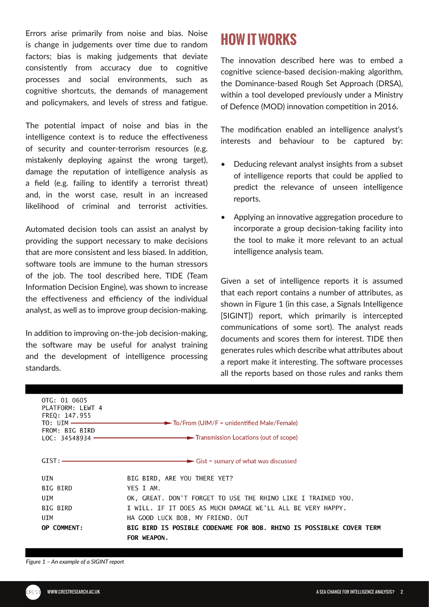Errors arise primarily from noise and bias. Noise is change in judgements over time due to random factors; bias is making judgements that deviate consistently from accuracy due to cognitive processes and social environments, such as cognitive shortcuts, the demands of management and policymakers, and levels of stress and fatigue.

The potential impact of noise and bias in the intelligence context is to reduce the effectiveness of security and counter-terrorism resources (e.g. mistakenly deploying against the wrong target), damage the reputation of intelligence analysis as a field (e.g. failing to identify a terrorist threat) and, in the worst case, result in an increased likelihood of criminal and terrorist activities.

Automated decision tools can assist an analyst by providing the support necessary to make decisions that are more consistent and less biased. In addition, software tools are immune to the human stressors of the job. The tool described here, TIDE (Team Information Decision Engine), was shown to increase the effectiveness and efficiency of the individual analyst, as well as to improve group decision-making.

In addition to improving on-the-job decision-making, the software may be useful for analyst training and the development of intelligence processing standards.

# **HOW IT WORKS**

The innovation described here was to embed a cognitive science-based decision-making algorithm, the Dominance-based Rough Set Approach (DRSA), within a tool developed previously under a Ministry of Defence (MOD) innovation competition in 2016.

The modification enabled an intelligence analyst's interests and behaviour to be captured by:

- Deducing relevant analyst insights from a subset of intelligence reports that could be applied to predict the relevance of unseen intelligence reports.
- Applying an innovative aggregation procedure to incorporate a group decision-taking facility into the tool to make it more relevant to an actual intelligence analysis team.

Given a set of intelligence reports it is assumed that each report contains a number of attributes, as shown in Figure 1 (in this case, a Signals Intelligence [SIGINT]) report, which primarily is intercepted communications of some sort). The analyst reads documents and scores them for interest. TIDE then generates rules which describe what attributes about a report make it interesting. The software processes all the reports based on those rules and ranks them

| OTG: 01 0605<br>PLATFORM: LEWT 4<br>FREQ: 147.955<br>$TO:$ UIM $\longrightarrow$<br>FROM: BIG BIRD<br>$LOC: 34548934 -$ | $\longrightarrow$ To/From (UIM/F = unidentified Male/Female)                       |
|-------------------------------------------------------------------------------------------------------------------------|------------------------------------------------------------------------------------|
|                                                                                                                         |                                                                                    |
| UIN                                                                                                                     | BIG BIRD, ARE YOU THERE YET?                                                       |
| BIG BIRD                                                                                                                | YES I AM.                                                                          |
| UIM                                                                                                                     | OK, GREAT. DON'T FORGET TO USE THE RHINO LIKE I TRAINED YOU.                       |
| BIG BIRD                                                                                                                | I WILL. IF IT DOES AS MUCH DAMAGE WE'LL ALL BE VERY HAPPY.                         |
| UIM                                                                                                                     | HA GOOD LUCK BOB, MY FRIEND. OUT                                                   |
| OP COMMENT:                                                                                                             | BIG BIRD IS POSIBLE CODENAME FOR BOB. RHINO IS POSSIBLKE COVER TERM<br>FOR WEAPON. |

*Figure 1 – An example of a SIGINT report*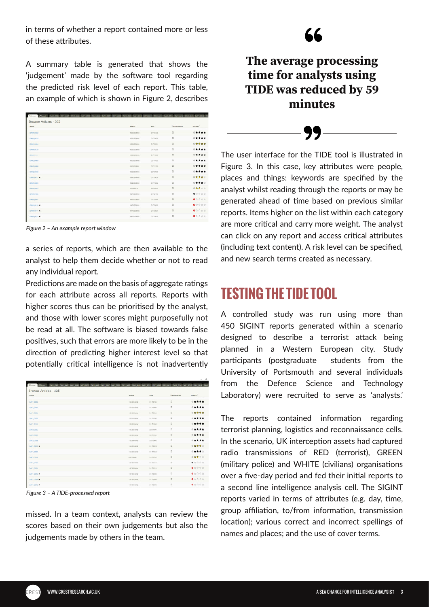in terms of whether a report contained more or less of these attributes.

A summary table is generated that shows the 'judgement' made by the software tool regarding the predicted risk level of each report. This table, an example of which is shown in Figure 2, describes

| 133, 335 MHz<br>153.335 MHz<br>152-855 MHz | 017030<br>O1 T0908<br>Of THIGH | $\Box$<br>$\Box$ | *****<br>***** |
|--------------------------------------------|--------------------------------|------------------|----------------|
|                                            |                                |                  |                |
|                                            |                                |                  |                |
|                                            |                                | $\Box$           | ◎查查查查          |
| 153.325 Mills                              | 04 T1238                       | $\Box$           | ◎ ★ ★ ★ ★      |
| 153.325 MHz                                | 01 T1658                       | $\Box$           | $0 + + + +$    |
| 156.825 MHz                                | O2 THIOD                       | $\Box$           | *****          |
| 156.835 MHz                                | <b>G2 TVI30</b>                | $\Box$           | *****          |
| LC 830 MHz                                 | O2 19908                       | o                | $0 + + + +$    |
| TR4.339 MHz                                | O1 10624                       | $\Box$           | ◎查查查☆          |
| TR4.335 MHz                                | DI TIONA                       | $\Omega$         | ◎ ★ ★ ★ ☆      |
| 0.000 8942                                 | 0270521                        | $\Box$           | ◎查查立立          |
| 147,855 MHz                                | 01 72119                       | $\overline{u}$   | <b>● 空空空空</b>  |
| 147.955 MHz                                | On Todes                       | $\Box$           | <b>O</b> 空空空官  |
| 147.955 MHz                                | O1 78602                       | $\Box$           | ●女女女女          |
| 147,955 MHz                                | 017804                         | $\Box$           | ● 女女女女         |
|                                            | 147,955 MHz                    | 04 78005         | $\circ$        |

*Figure 2 – An example report window*

a series of reports, which are then available to the analyst to help them decide whether or not to read any individual report.

Predictions are made on the basis of aggregate ratings for each attribute across all reports. Reports with higher scores thus can be prioritised by the analyst, and those with lower scores might purposefully not be read at all. The software is biased towards false positives, such that errors are more likely to be in the direction of predicting higher interest level so that potentially critical intelligence is not inadvertently

| Name         | <b>Bigmer</b> | 0444            | <b>Cinconnected</b> | Mileness <sup>2</sup> |
|--------------|---------------|-----------------|---------------------|-----------------------|
| CAN'T OULD   | 153,335 MHz   | 01 73745        | $\Box$              | *****                 |
| DAY1 0035    | 151.335 MHz   | O1 T0900        | $\Box$              | *****                 |
| GAYY DOSA    | 152.955 MHz   | Of Tiddy        | $\Box$              | ◎查查查查                 |
| GAYY 0679    | 153.525 MHz   | 0171030         | $\circ$             | *****                 |
| GANY OFFICE  | 153.325 MHz   | 0179556         | $\Box$              | *****                 |
| GAY2_0080    | 156-835 MHz   | <b>O2 T9900</b> | $\circ$             | $0 + + + +$           |
| GANZ_0085    | 156.825 MHz   | O2 THSM         | $\Box$              | *****                 |
| GAN2 0038    | 142,830 MHz   | C2 72900        | $\Omega$            | $0 + + + +$           |
| CANT OFFIT K | 114,331, MHz  | 01.19624        | $\Box$              | ◎查查查☆                 |
| CAN'T CONT   | 114,333 MHz   | <b>GE TIGGS</b> | $\Omega$            | ◎ ★★★☆                |
| DAYS DODG    | 0.000 1/142   | C2 TREST        | $\Box$              | ◎查查立立                 |
| GAYS ONES    | 147,955 MHz   | Ot T2119        | $\Omega$            | <b>9</b> 空空空空         |
| GAYS_0001    | 147.955 MHz   | OK TODAY        | $\Box$              | <b>O</b> 空空空空         |
| GAYS 0010 M  | 14T 955 MHz   | O1 73600        | $\Box$              | <b>Q</b> 女女女女         |
| GAYS_0019 W  | 147,955 MHz   | O1 75004        | $\Box$              | ● 含宜官官                |

*Figure 3 – A TIDE-processed report*

missed. In a team context, analysts can review the scores based on their own judgements but also the judgements made by others in the team.

### **The average processing time for analysts using TIDE was reduced by 59 minutes**

The user interface for the TIDE tool is illustrated in Figure 3. In this case, key attributes were people, places and things: keywords are specified by the analyst whilst reading through the reports or may be generated ahead of time based on previous similar reports. Items higher on the list within each category are more critical and carry more weight. The analyst can click on any report and access critical attributes (including text content). A risk level can be specified, and new search terms created as necessary.

## **TESTING THE TIDE TOOL**

A controlled study was run using more than 450 SIGINT reports generated within a scenario designed to describe a terrorist attack being planned in a Western European city. Study participants (postgraduate students from the University of Portsmouth and several individuals from the Defence Science and Technology Laboratory) were recruited to serve as 'analysts.'

The reports contained information regarding terrorist planning, logistics and reconnaissance cells. In the scenario, UK interception assets had captured radio transmissions of RED (terrorist), GREEN (military police) and WHITE (civilians) organisations over a five-day period and fed their initial reports to a second line intelligence analysis cell. The SIGINT reports varied in terms of attributes (e.g. day, time, group affiliation, to/from information, transmission location); various correct and incorrect spellings of names and places; and the use of cover terms.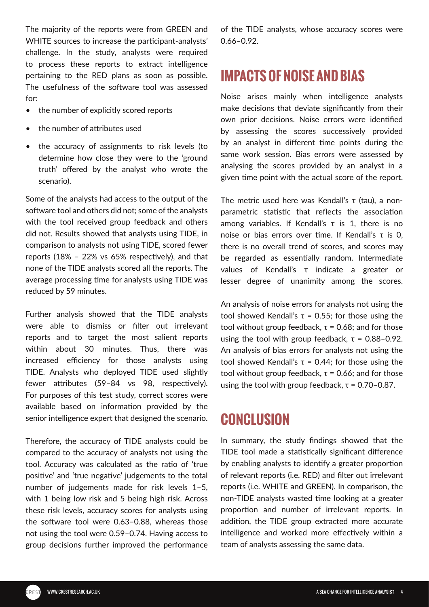The majority of the reports were from GREEN and WHITE sources to increase the participant-analysts' challenge. In the study, analysts were required to process these reports to extract intelligence pertaining to the RED plans as soon as possible. The usefulness of the software tool was assessed for:

- the number of explicitly scored reports
- the number of attributes used
- the accuracy of assignments to risk levels (to determine how close they were to the 'ground truth' offered by the analyst who wrote the scenario).

Some of the analysts had access to the output of the software tool and others did not; some of the analysts with the tool received group feedback and others did not. Results showed that analysts using TIDE, in comparison to analysts not using TIDE, scored fewer reports (18% – 22% vs 65% respectively), and that none of the TIDE analysts scored all the reports. The average processing time for analysts using TIDE was reduced by 59 minutes.

Further analysis showed that the TIDE analysts were able to dismiss or filter out irrelevant reports and to target the most salient reports within about 30 minutes. Thus, there was increased efficiency for those analysts using TIDE. Analysts who deployed TIDE used slightly fewer attributes (59–84 vs 98, respectively). For purposes of this test study, correct scores were available based on information provided by the senior intelligence expert that designed the scenario.

Therefore, the accuracy of TIDE analysts could be compared to the accuracy of analysts not using the tool. Accuracy was calculated as the ratio of 'true positive' and 'true negative' judgements to the total number of judgements made for risk levels 1–5, with 1 being low risk and 5 being high risk. Across these risk levels, accuracy scores for analysts using the software tool were 0.63–0.88, whereas those not using the tool were 0.59–0.74. Having access to group decisions further improved the performance

of the TIDE analysts, whose accuracy scores were 0.66–0.92.

# **IMPACTS OF NOISE AND BIAS**

Noise arises mainly when intelligence analysts make decisions that deviate significantly from their own prior decisions. Noise errors were identified by assessing the scores successively provided by an analyst in different time points during the same work session. Bias errors were assessed by analysing the scores provided by an analyst in a given time point with the actual score of the report.

The metric used here was Kendall's τ (tau), a nonparametric statistic that reflects the association among variables. If Kendall's τ is 1, there is no noise or bias errors over time. If Kendall's τ is 0, there is no overall trend of scores, and scores may be regarded as essentially random. Intermediate values of Kendall's τ indicate a greater or lesser degree of unanimity among the scores.

An analysis of noise errors for analysts not using the tool showed Kendall's  $τ = 0.55$ ; for those using the tool without group feedback,  $τ = 0.68$ ; and for those using the tool with group feedback,  $τ = 0.88 - 0.92$ . An analysis of bias errors for analysts not using the tool showed Kendall's  $τ = 0.44$ ; for those using the tool without group feedback,  $τ = 0.66$ ; and for those using the tool with group feedback,  $τ = 0.70 - 0.87$ .

## **CONCLUSION**

In summary, the study findings showed that the TIDE tool made a statistically significant difference by enabling analysts to identify a greater proportion of relevant reports (i.e. RED) and filter out irrelevant reports (i.e. WHITE and GREEN). In comparison, the non-TIDE analysts wasted time looking at a greater proportion and number of irrelevant reports. In addition, the TIDE group extracted more accurate intelligence and worked more effectively within a team of analysts assessing the same data.